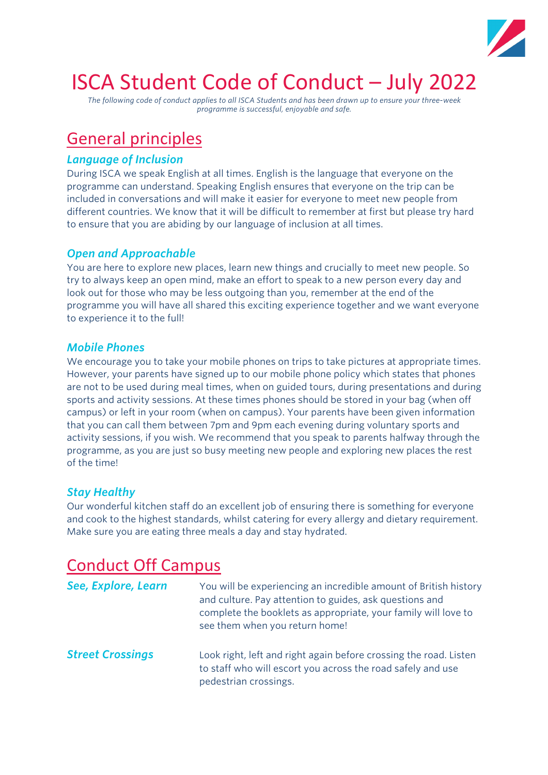

# ISCA Student Code of Conduct – July 2022

*The following code of conduct applies to all ISCA Students and has been drawn up to ensure your three-week programme is successful, enjoyable and safe.*

# General principles

#### *Language of Inclusion*

During ISCA we speak English at all times. English is the language that everyone on the programme can understand. Speaking English ensures that everyone on the trip can be included in conversations and will make it easier for everyone to meet new people from different countries. We know that it will be difficult to remember at first but please try hard to ensure that you are abiding by our language of inclusion at all times.

### *Open and Approachable*

You are here to explore new places, learn new things and crucially to meet new people. So try to always keep an open mind, make an effort to speak to a new person every day and look out for those who may be less outgoing than you, remember at the end of the programme you will have all shared this exciting experience together and we want everyone to experience it to the full!

#### *Mobile Phones*

We encourage you to take your mobile phones on trips to take pictures at appropriate times. However, your parents have signed up to our mobile phone policy which states that phones are not to be used during meal times, when on guided tours, during presentations and during sports and activity sessions. At these times phones should be stored in your bag (when off campus) or left in your room (when on campus). Your parents have been given information that you can call them between 7pm and 9pm each evening during voluntary sports and activity sessions, if you wish. We recommend that you speak to parents halfway through the programme, as you are just so busy meeting new people and exploring new places the rest of the time!

### *Stay Healthy*

Our wonderful kitchen staff do an excellent job of ensuring there is something for everyone and cook to the highest standards, whilst catering for every allergy and dietary requirement. Make sure you are eating three meals a day and stay hydrated.

### Conduct Off Campus

| See, Explore, Learn     | You will be experiencing an incredible amount of British history<br>and culture. Pay attention to guides, ask questions and<br>complete the booklets as appropriate, your family will love to<br>see them when you return home! |
|-------------------------|---------------------------------------------------------------------------------------------------------------------------------------------------------------------------------------------------------------------------------|
| <b>Street Crossings</b> | Look right, left and right again before crossing the road. Listen<br>to staff who will escort you across the road safely and use<br>pedestrian crossings.                                                                       |